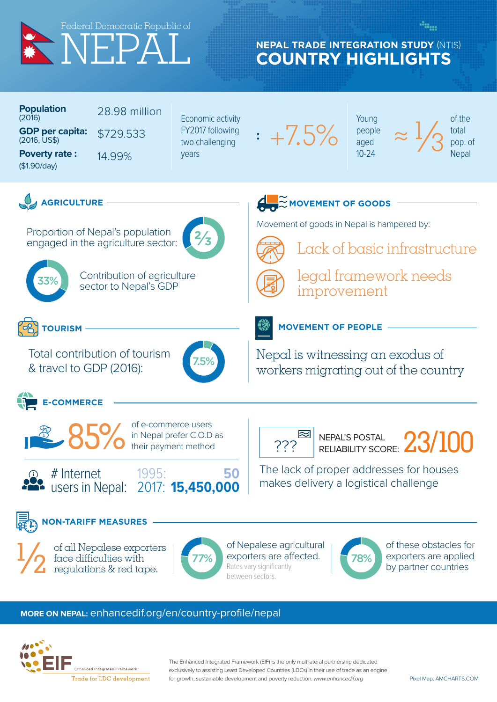

## **COUNTRY HIGHLIGHTS NEPAL TRADE INTEGRATION STUDY** (NTIS)

| <b>Population</b><br>(2016)            | 28.98 million |
|----------------------------------------|---------------|
| <b>GDP per capita:</b><br>(2016, US\$) | \$729.533     |
| <b>Poverty rate:</b><br>(\$1.90/day)   | 14 99%        |

Economic activity FY2017 following two challenging years

**:**

3.J

+7.5%

Young people aged 10-24

Lack of basic infrastructure

legal framework needs

 $\approx \frac{1}{3}$ 

of the total pop. of **Nepal** 



Proportion of Nepal's population engaged in the agriculture sector:



33%

Contribution of agriculture sector to Nepal's GDP



Total contribution of tourism & travel to GDP (2016): 7.5%



**E-COMMERCE** 



of e-commerce users in Nepal prefer C.O.D as their payment method



2017: **15,450,000**

1995: **50**

 $\left[\frac{1}{2}\right]$  NEPAL'S POSTAL  $23/100$ 

**MOVEMENT OF PEOPLE**

Nepal is witnessing an exodus of

workers migrating out of the country

Movement of goods in Nepal is hampered by:

improvement

The lack of proper addresses for houses

makes delivery a logistical challenge



of all Nepalese exporters face difficulties with regulations & red tape.  $\frac{1}{2}$ 



of Nepalese agricultural 77% exporters are affected. Rates vary significantly between sectors.



of these obstacles for exporters are applied by partner countries

## **MORE ON NEPAL:** enhancedif.org/en/country-profile/nepal



Enhanced Integrated Framework Trade for LDC development The Enhanced Integrated Framework (EIF) is the only multilateral partnership dedicated exclusively to assisting Least Developed Countries (LDCs) in their use of trade as an engine for growth, sustainable development and poverty reduction. *www.enhancedif.org*